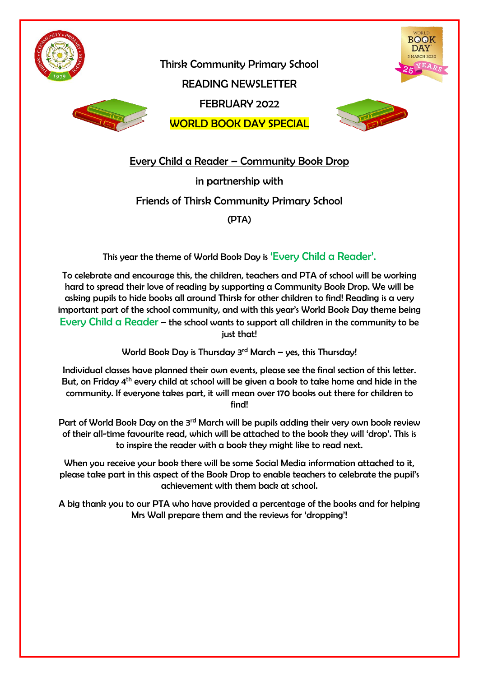

**BOOK** 



READING NEWSLETTER FEBRUARY 2022

Thirsk Community Primary School

WORLD BOOK DAY SPECIAL



Every Child a Reader – Community Book Drop

in partnership with

Friends of Thirsk Community Primary School

(PTA)

This year the theme of World Book Day is 'Every Child a Reader'.

To celebrate and encourage this, the children, teachers and PTA of school will be working hard to spread their love of reading by supporting a Community Book Drop. We will be asking pupils to hide books all around Thirsk for other children to find! Reading is a very important part of the school community, and with this year's World Book Day theme being Every Child a Reader – the school wants to support all children in the community to be just that!

World Book Day is Thursday  $3<sup>rd</sup>$  March – yes, this Thursday!

Individual classes have planned their own events, please see the final section of this letter. But, on Friday 4<sup>th</sup> every child at school will be given a book to take home and hide in the community. If everyone takes part, it will mean over 170 books out there for children to find!

Part of World Book Day on the 3<sup>rd</sup> March will be pupils adding their very own book review of their all-time favourite read, which will be attached to the book they will 'drop'. This is to inspire the reader with a book they might like to read next.

When you receive your book there will be some Social Media information attached to it, please take part in this aspect of the Book Drop to enable teachers to celebrate the pupil's achievement with them back at school.

A big thank you to our PTA who have provided a percentage of the books and for helping Mrs Wall prepare them and the reviews for 'dropping'!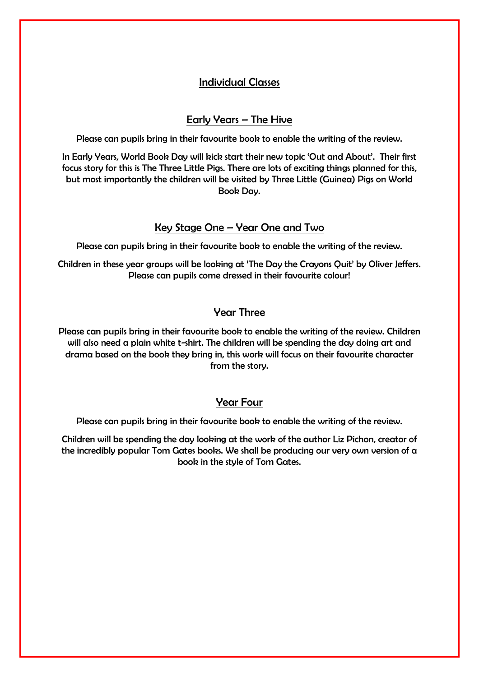## Individual Classes

### Early Years – The Hive

Please can pupils bring in their favourite book to enable the writing of the review.

In Early Years, World Book Day will kick start their new topic 'Out and About'. Their first focus story for this is The Three Little Pigs. There are lots of exciting things planned for this, but most importantly the children will be visited by Three Little (Guinea) Pigs on World Book Day.

## Key Stage One – Year One and Two

Please can pupils bring in their favourite book to enable the writing of the review.

Children in these year groups will be looking at 'The Day the Crayons Quit' by Oliver Jeffers. Please can pupils come dressed in their favourite colour!

# Year Three

Please can pupils bring in their favourite book to enable the writing of the review. Children will also need a plain white t-shirt. The children will be spending the day doing art and drama based on the book they bring in, this work will focus on their favourite character from the story.

# Year Four

Please can pupils bring in their favourite book to enable the writing of the review.

Children will be spending the day looking at the work of the author Liz Pichon, creator of the incredibly popular Tom Gates books. We shall be producing our very own version of a book in the style of Tom Gates.